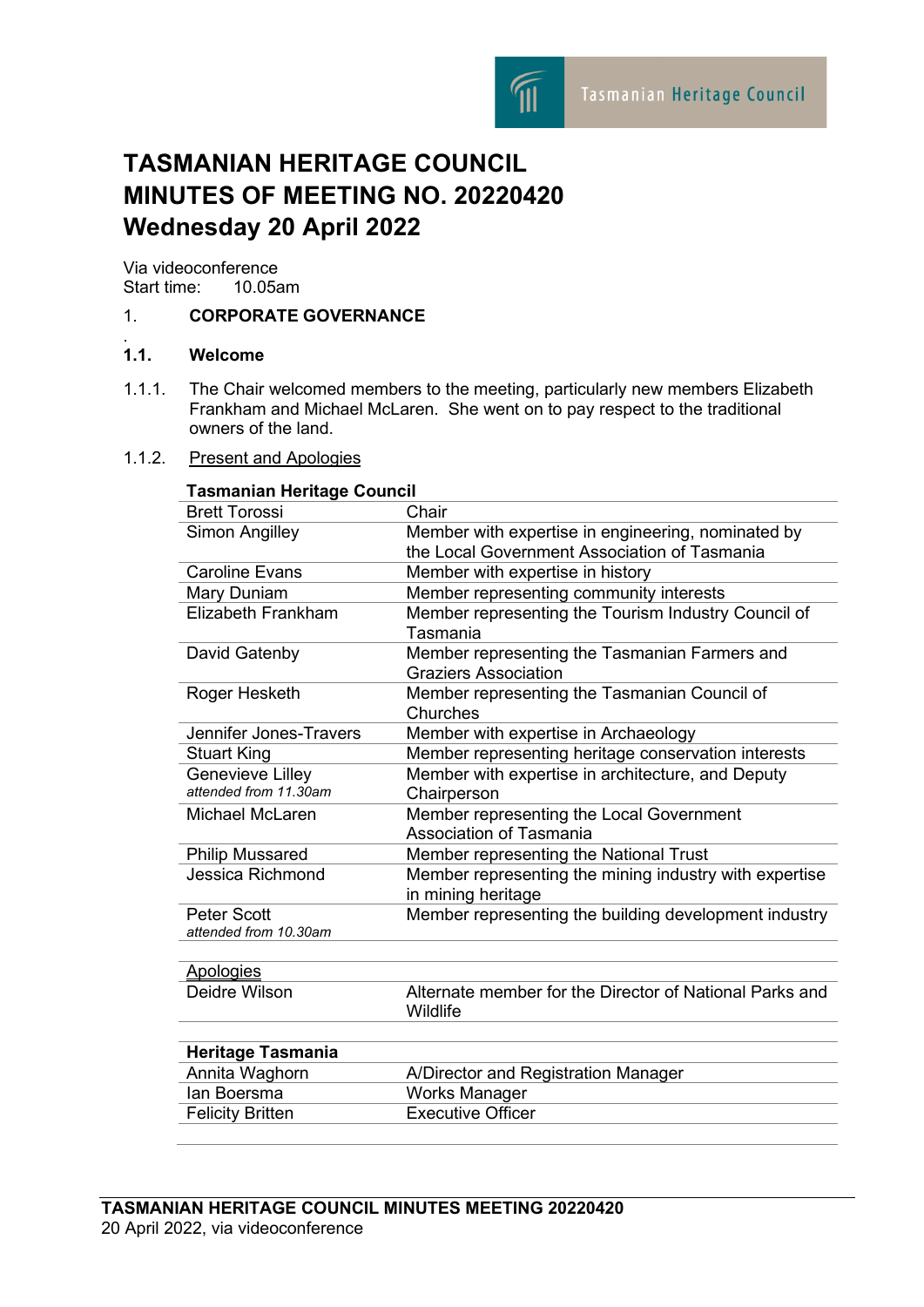

# **TASMANIAN HERITAGE COUNCIL MINUTES OF MEETING NO. 20220420 Wednesday 20 April 2022**

Via videoconference<br>Start time: 10.05am Start time:

# 1. **CORPORATE GOVERNANCE**

#### $1.1.$ **1.1. Welcome**

1.1.1. The Chair welcomed members to the meeting, particularly new members Elizabeth Frankham and Michael McLaren. She went on to pay respect to the traditional owners of the land.

### 1.1.2. Present and Apologies

| Tasmanian Heritage Council                  |                                                                              |
|---------------------------------------------|------------------------------------------------------------------------------|
| <b>Brett Torossi</b>                        | Chair                                                                        |
| Simon Angilley                              | Member with expertise in engineering, nominated by                           |
|                                             | the Local Government Association of Tasmania                                 |
| <b>Caroline Evans</b>                       | Member with expertise in history                                             |
| Mary Duniam                                 | Member representing community interests                                      |
| <b>Elizabeth Frankham</b>                   | Member representing the Tourism Industry Council of<br>Tasmania              |
| David Gatenby                               | Member representing the Tasmanian Farmers and<br><b>Graziers Association</b> |
| Roger Hesketh                               | Member representing the Tasmanian Council of<br>Churches                     |
| Jennifer Jones-Travers                      | Member with expertise in Archaeology                                         |
| <b>Stuart King</b>                          | Member representing heritage conservation interests                          |
| Genevieve Lilley                            | Member with expertise in architecture, and Deputy                            |
| attended from 11.30am                       | Chairperson                                                                  |
| Michael McLaren                             | Member representing the Local Government                                     |
|                                             | Association of Tasmania                                                      |
| <b>Philip Mussared</b>                      | Member representing the National Trust                                       |
| Jessica Richmond                            | Member representing the mining industry with expertise<br>in mining heritage |
| <b>Peter Scott</b><br>attended from 10.30am | Member representing the building development industry                        |
| <b>Apologies</b>                            |                                                                              |
| Deidre Wilson                               | Alternate member for the Director of National Parks and<br>Wildlife          |
| <b>Heritage Tasmania</b>                    |                                                                              |
| Annita Waghorn                              | A/Director and Registration Manager                                          |
| lan Boersma                                 | <b>Works Manager</b>                                                         |
| <b>Felicity Britten</b>                     | <b>Executive Officer</b>                                                     |
|                                             |                                                                              |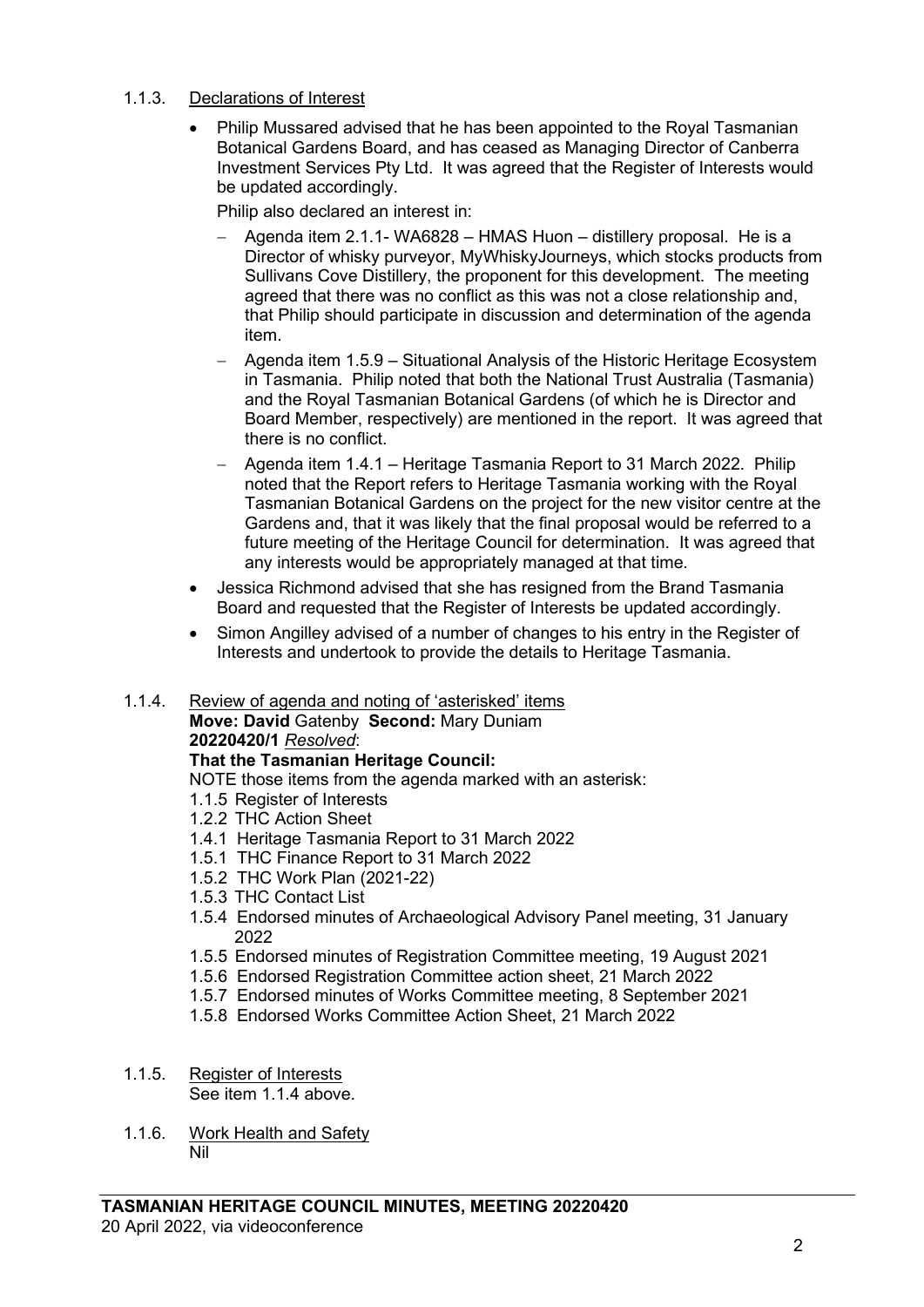# 1.1.3. Declarations of Interest

• Philip Mussared advised that he has been appointed to the Royal Tasmanian Botanical Gardens Board, and has ceased as Managing Director of Canberra Investment Services Pty Ltd. It was agreed that the Register of Interests would be updated accordingly.

Philip also declared an interest in:

- − Agenda item 2.1.1- WA6828 HMAS Huon distillery proposal. He is a Director of whisky purveyor, MyWhiskyJourneys, which stocks products from Sullivans Cove Distillery, the proponent for this development. The meeting agreed that there was no conflict as this was not a close relationship and, that Philip should participate in discussion and determination of the agenda item.
- − Agenda item 1.5.9 Situational Analysis of the Historic Heritage Ecosystem in Tasmania. Philip noted that both the National Trust Australia (Tasmania) and the Royal Tasmanian Botanical Gardens (of which he is Director and Board Member, respectively) are mentioned in the report. It was agreed that there is no conflict.
- − Agenda item 1.4.1 Heritage Tasmania Report to 31 March 2022. Philip noted that the Report refers to Heritage Tasmania working with the Royal Tasmanian Botanical Gardens on the project for the new visitor centre at the Gardens and, that it was likely that the final proposal would be referred to a future meeting of the Heritage Council for determination. It was agreed that any interests would be appropriately managed at that time.
- Jessica Richmond advised that she has resigned from the Brand Tasmania Board and requested that the Register of Interests be updated accordingly.
- Simon Angilley advised of a number of changes to his entry in the Register of Interests and undertook to provide the details to Heritage Tasmania.

# 1.1.4. Review of agenda and noting of 'asterisked' items

**Move: David** Gatenby **Second:** Mary Duniam **20220420/1** *Resolved*:

# **That the Tasmanian Heritage Council:**

NOTE those items from the agenda marked with an asterisk:

- 1.1.5 Register of Interests
- 1.2.2 THC Action Sheet
- 1.4.1 Heritage Tasmania Report to 31 March 2022
- 1.5.1 THC Finance Report to 31 March 2022
- 1.5.2 THC Work Plan (2021-22)
- 1.5.3 THC Contact List
- 1.5.4 Endorsed minutes of Archaeological Advisory Panel meeting, 31 January 2022
- 1.5.5 Endorsed minutes of Registration Committee meeting, 19 August 2021
- 1.5.6 Endorsed Registration Committee action sheet, 21 March 2022
- 1.5.7 Endorsed minutes of Works Committee meeting, 8 September 2021
- 1.5.8 Endorsed Works Committee Action Sheet, 21 March 2022

#### 1.1.5. Register of Interests See item 1.1.4 above.

1.1.6. Work Health and Safety Nil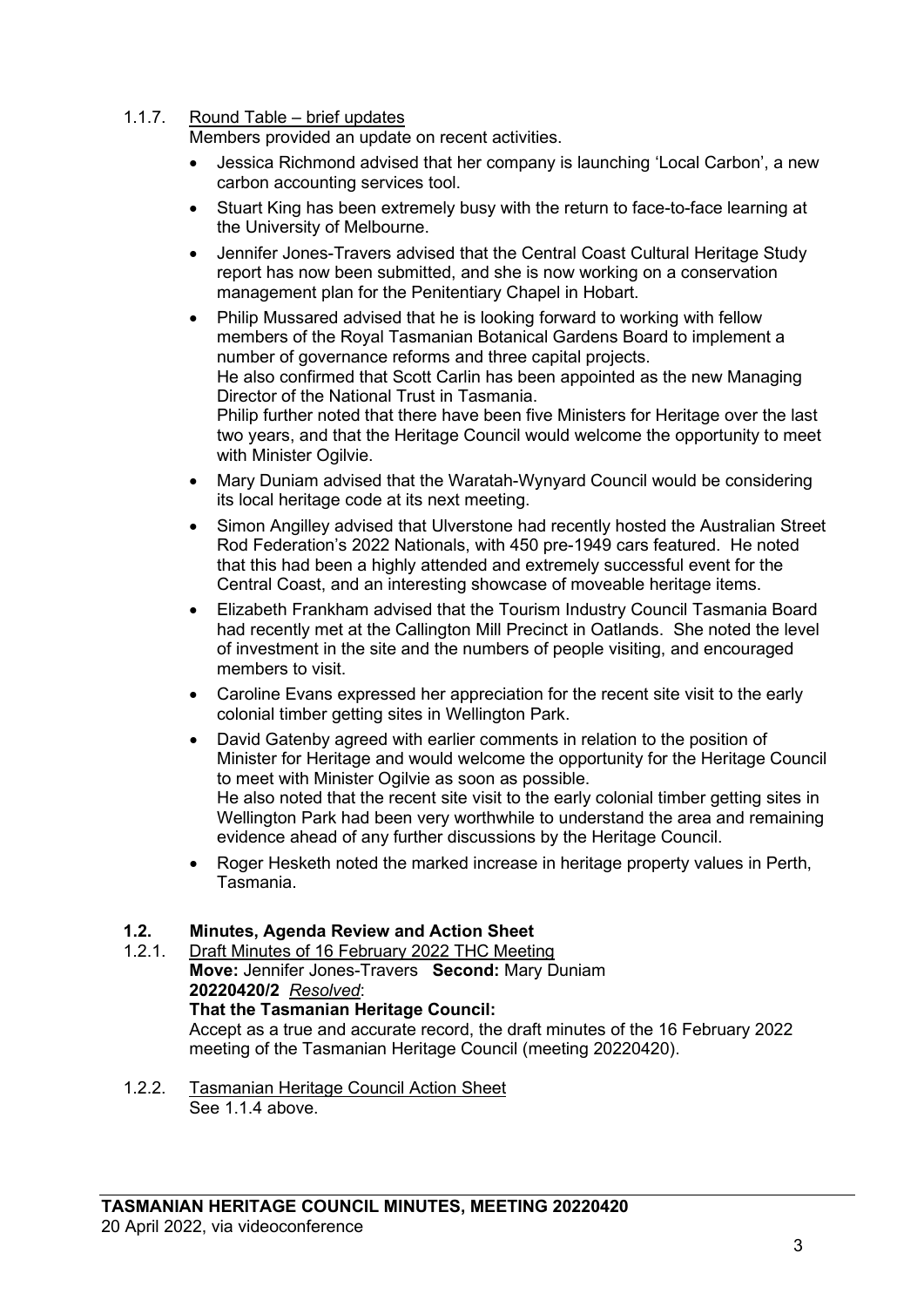# 1.1.7. Round Table – brief updates

Members provided an update on recent activities.

- Jessica Richmond advised that her company is launching 'Local Carbon', a new carbon accounting services tool.
- Stuart King has been extremely busy with the return to face-to-face learning at the University of Melbourne.
- Jennifer Jones-Travers advised that the Central Coast Cultural Heritage Study report has now been submitted, and she is now working on a conservation management plan for the Penitentiary Chapel in Hobart.
- Philip Mussared advised that he is looking forward to working with fellow members of the Royal Tasmanian Botanical Gardens Board to implement a number of governance reforms and three capital projects. He also confirmed that Scott Carlin has been appointed as the new Managing Director of the National Trust in Tasmania. Philip further noted that there have been five Ministers for Heritage over the last two years, and that the Heritage Council would welcome the opportunity to meet with Minister Ogilvie.
- Mary Duniam advised that the Waratah-Wynyard Council would be considering its local heritage code at its next meeting.
- Simon Angilley advised that Ulverstone had recently hosted the Australian Street Rod Federation's 2022 Nationals, with 450 pre-1949 cars featured. He noted that this had been a highly attended and extremely successful event for the Central Coast, and an interesting showcase of moveable heritage items.
- Elizabeth Frankham advised that the Tourism Industry Council Tasmania Board had recently met at the Callington Mill Precinct in Oatlands. She noted the level of investment in the site and the numbers of people visiting, and encouraged members to visit.
- Caroline Evans expressed her appreciation for the recent site visit to the early colonial timber getting sites in Wellington Park.
- David Gatenby agreed with earlier comments in relation to the position of Minister for Heritage and would welcome the opportunity for the Heritage Council to meet with Minister Ogilvie as soon as possible. He also noted that the recent site visit to the early colonial timber getting sites in Wellington Park had been very worthwhile to understand the area and remaining evidence ahead of any further discussions by the Heritage Council.
- Roger Hesketh noted the marked increase in heritage property values in Perth, Tasmania.

# **1.2. Minutes, Agenda Review and Action Sheet**

- Draft Minutes of 16 February 2022 THC Meeting **Move:** Jennifer Jones-Travers **Second:** Mary Duniam **20220420/2** *Resolved*: **That the Tasmanian Heritage Council:** Accept as a true and accurate record, the draft minutes of the 16 February 2022 meeting of the Tasmanian Heritage Council (meeting 20220420).
- 1.2.2. Tasmanian Heritage Council Action Sheet See 1.1.4 above.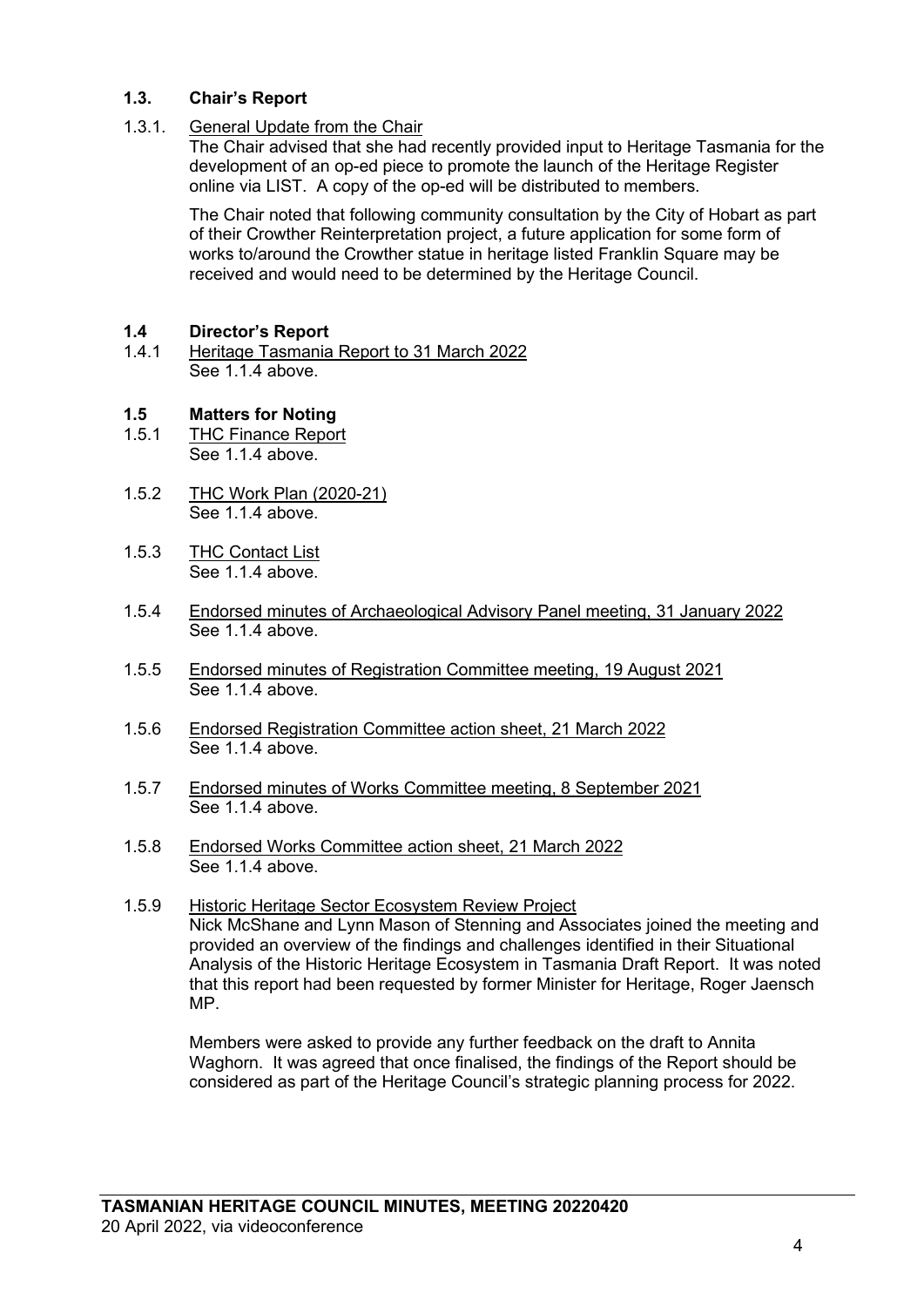# **1.3. Chair's Report**

## 1.3.1. General Update from the Chair

The Chair advised that she had recently provided input to Heritage Tasmania for the development of an op-ed piece to promote the launch of the Heritage Register online via LIST. A copy of the op-ed will be distributed to members.

The Chair noted that following community consultation by the City of Hobart as part of their Crowther Reinterpretation project, a future application for some form of works to/around the Crowther statue in heritage listed Franklin Square may be received and would need to be determined by the Heritage Council.

# **1.4 Director's Report**

1.4.1 Heritage Tasmania Report to 31 March 2022 See 1.1.4 above.

# **1.5 Matters for Noting**

- **THC Finance Report** See 1.1.4 above
- 1.5.2 THC Work Plan (2020-21) See 1.1.4 above.
- 1.5.3 THC Contact List See 1.1.4 above.
- 1.5.4 Endorsed minutes of Archaeological Advisory Panel meeting, 31 January 2022 See 1.1.4 above.
- 1.5.5 Endorsed minutes of Registration Committee meeting, 19 August 2021 See 1.1.4 above.
- 1.5.6 Endorsed Registration Committee action sheet, 21 March 2022 See 1.1.4 above.
- 1.5.7 Endorsed minutes of Works Committee meeting, 8 September 2021 See 1.1.4 above.
- 1.5.8 Endorsed Works Committee action sheet, 21 March 2022 See 1.1.4 above.
- 1.5.9 Historic Heritage Sector Ecosystem Review Project Nick McShane and Lynn Mason of Stenning and Associates joined the meeting and provided an overview of the findings and challenges identified in their Situational Analysis of the Historic Heritage Ecosystem in Tasmania Draft Report. It was noted that this report had been requested by former Minister for Heritage, Roger Jaensch MP.

Members were asked to provide any further feedback on the draft to Annita Waghorn. It was agreed that once finalised, the findings of the Report should be considered as part of the Heritage Council's strategic planning process for 2022.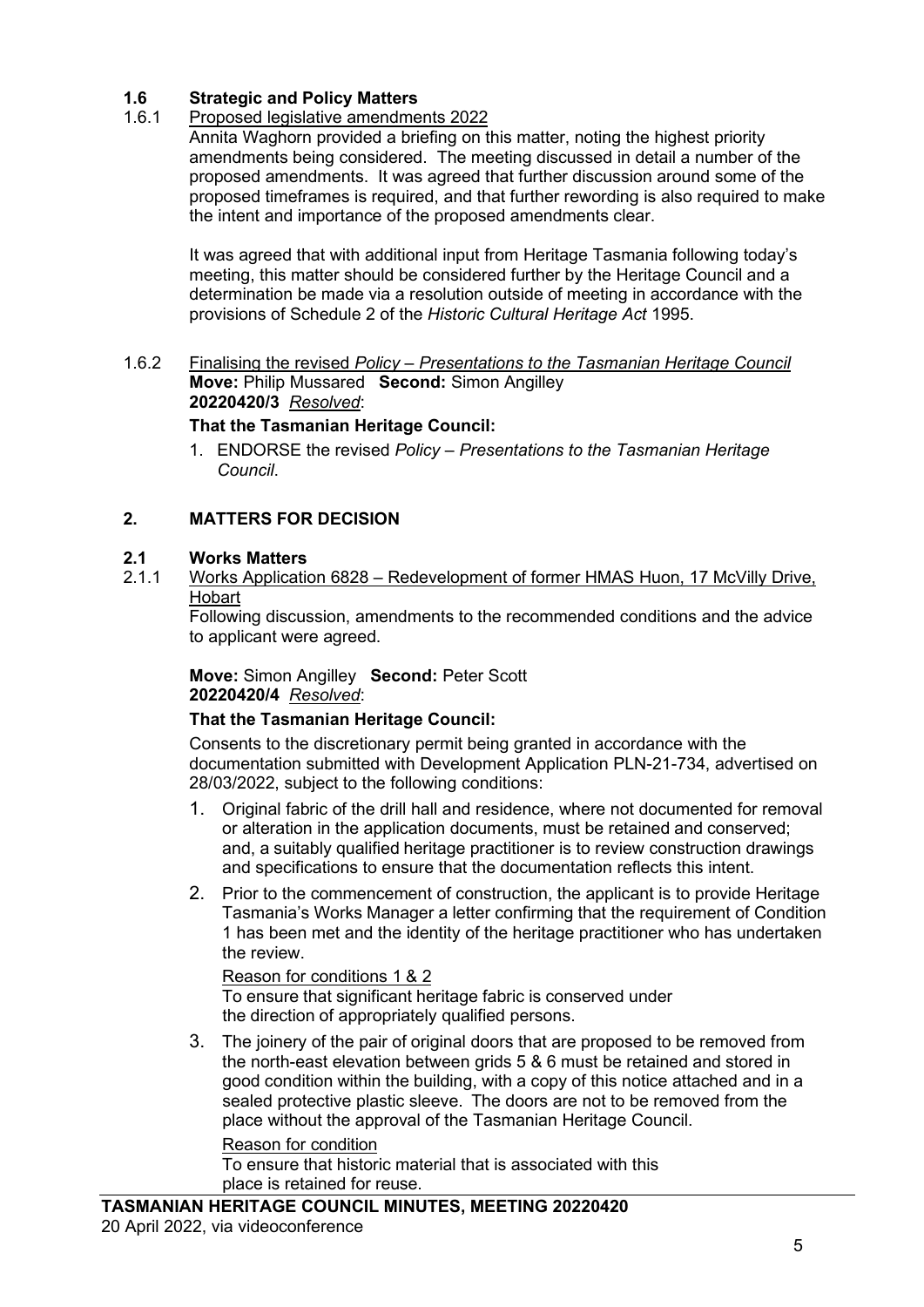# **1.6 Strategic and Policy Matters**

# 1.6.1 Proposed legislative amendments 2022

Annita Waghorn provided a briefing on this matter, noting the highest priority amendments being considered. The meeting discussed in detail a number of the proposed amendments. It was agreed that further discussion around some of the proposed timeframes is required, and that further rewording is also required to make the intent and importance of the proposed amendments clear.

It was agreed that with additional input from Heritage Tasmania following today's meeting, this matter should be considered further by the Heritage Council and a determination be made via a resolution outside of meeting in accordance with the provisions of Schedule 2 of the *Historic Cultural Heritage Act* 1995.

1.6.2 Finalising the revised *Policy – Presentations to the Tasmanian Heritage Council* **Move:** Philip Mussared **Second:** Simon Angilley **20220420/3** *Resolved*:

## **That the Tasmanian Heritage Council:**

1. ENDORSE the revised *Policy – Presentations to the Tasmanian Heritage Council*.

## **2. MATTERS FOR DECISION**

# **2.1 Works Matters**

2.1.1 Works Application 6828 – Redevelopment of former HMAS Huon, 17 McVilly Drive, Hobart

Following discussion, amendments to the recommended conditions and the advice to applicant were agreed.

#### **Move:** Simon Angilley **Second:** Peter Scott **20220420/4** *Resolved*:

#### **That the Tasmanian Heritage Council:**

Consents to the discretionary permit being granted in accordance with the documentation submitted with Development Application PLN-21-734, advertised on 28/03/2022, subject to the following conditions:

- 1. Original fabric of the drill hall and residence, where not documented for removal or alteration in the application documents, must be retained and conserved; and, a suitably qualified heritage practitioner is to review construction drawings and specifications to ensure that the documentation reflects this intent.
- 2. Prior to the commencement of construction, the applicant is to provide Heritage Tasmania's Works Manager a letter confirming that the requirement of Condition 1 has been met and the identity of the heritage practitioner who has undertaken the review.

#### Reason for conditions 1 & 2

To ensure that significant heritage fabric is conserved under the direction of appropriately qualified persons.

3. The joinery of the pair of original doors that are proposed to be removed from the north-east elevation between grids 5 & 6 must be retained and stored in good condition within the building, with a copy of this notice attached and in a sealed protective plastic sleeve. The doors are not to be removed from the place without the approval of the Tasmanian Heritage Council.

Reason for condition

To ensure that historic material that is associated with this place is retained for reuse.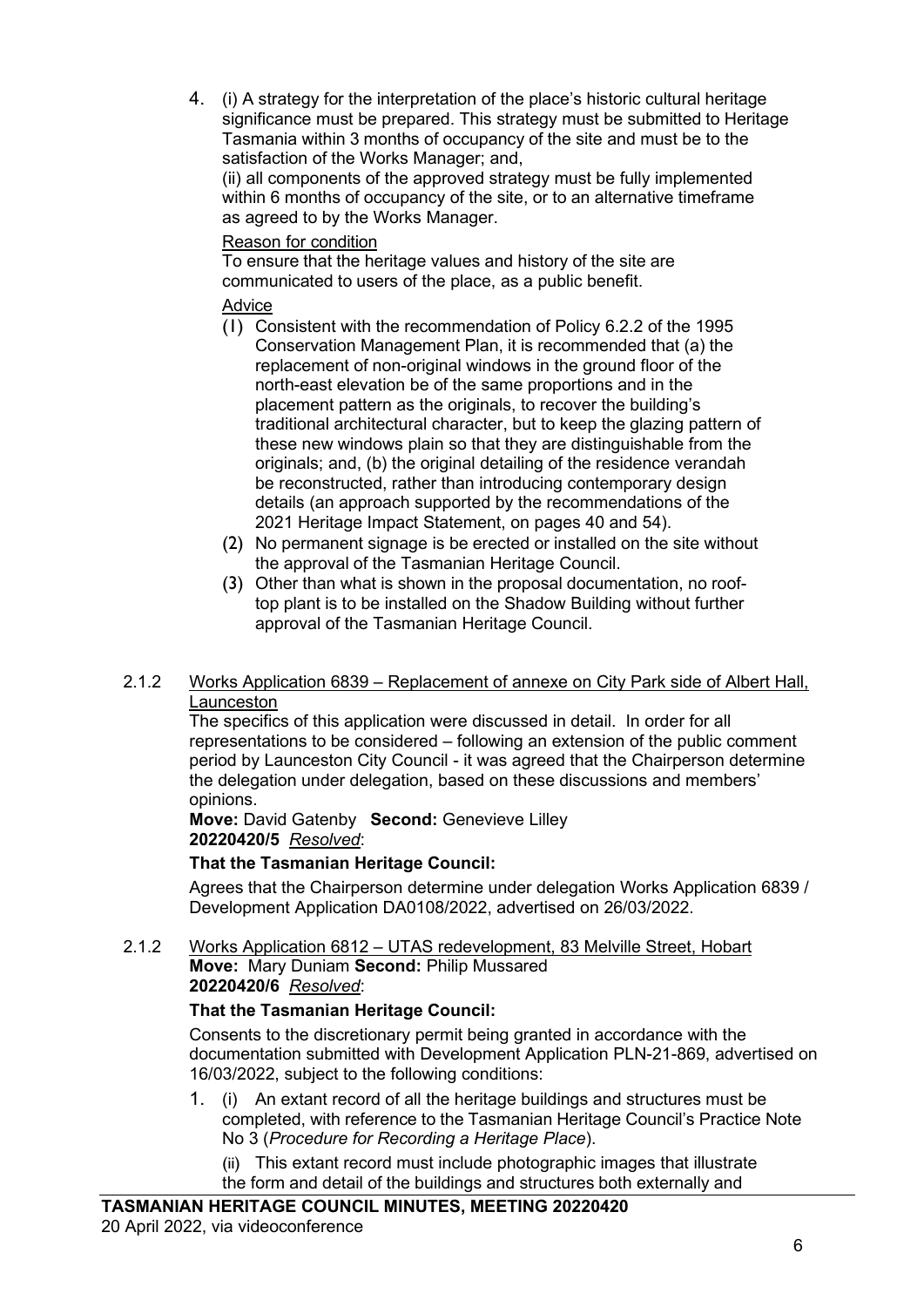4. (i) A strategy for the interpretation of the place's historic cultural heritage significance must be prepared. This strategy must be submitted to Heritage Tasmania within 3 months of occupancy of the site and must be to the satisfaction of the Works Manager; and,

(ii) all components of the approved strategy must be fully implemented within 6 months of occupancy of the site, or to an alternative timeframe as agreed to by the Works Manager.

# Reason for condition

To ensure that the heritage values and history of the site are communicated to users of the place, as a public benefit.

# Advice

- (1) Consistent with the recommendation of Policy 6.2.2 of the 1995 Conservation Management Plan, it is recommended that (a) the replacement of non-original windows in the ground floor of the north-east elevation be of the same proportions and in the placement pattern as the originals, to recover the building's traditional architectural character, but to keep the glazing pattern of these new windows plain so that they are distinguishable from the originals; and, (b) the original detailing of the residence verandah be reconstructed, rather than introducing contemporary design details (an approach supported by the recommendations of the 2021 Heritage Impact Statement, on pages 40 and 54).
- (2) No permanent signage is be erected or installed on the site without the approval of the Tasmanian Heritage Council.
- (3) Other than what is shown in the proposal documentation, no rooftop plant is to be installed on the Shadow Building without further approval of the Tasmanian Heritage Council.

## 2.1.2 Works Application 6839 – Replacement of annexe on City Park side of Albert Hall, Launceston

The specifics of this application were discussed in detail. In order for all representations to be considered – following an extension of the public comment period by Launceston City Council - it was agreed that the Chairperson determine the delegation under delegation, based on these discussions and members' opinions.

## **Move:** David Gatenby **Second:** Genevieve Lilley **20220420/5** *Resolved*:

# **That the Tasmanian Heritage Council:**

Agrees that the Chairperson determine under delegation Works Application 6839 / Development Application DA0108/2022, advertised on 26/03/2022.

#### 2.1.2 Works Application 6812 – UTAS redevelopment, 83 Melville Street, Hobart **Move:** Mary Duniam **Second:** Philip Mussared **20220420/6** *Resolved*:

# **That the Tasmanian Heritage Council:**

Consents to the discretionary permit being granted in accordance with the documentation submitted with Development Application PLN-21-869, advertised on 16/03/2022, subject to the following conditions:

- 1. (i) An extant record of all the heritage buildings and structures must be completed, with reference to the Tasmanian Heritage Council's Practice Note No 3 (*Procedure for Recording a Heritage Place*).
	- (ii) This extant record must include photographic images that illustrate the form and detail of the buildings and structures both externally and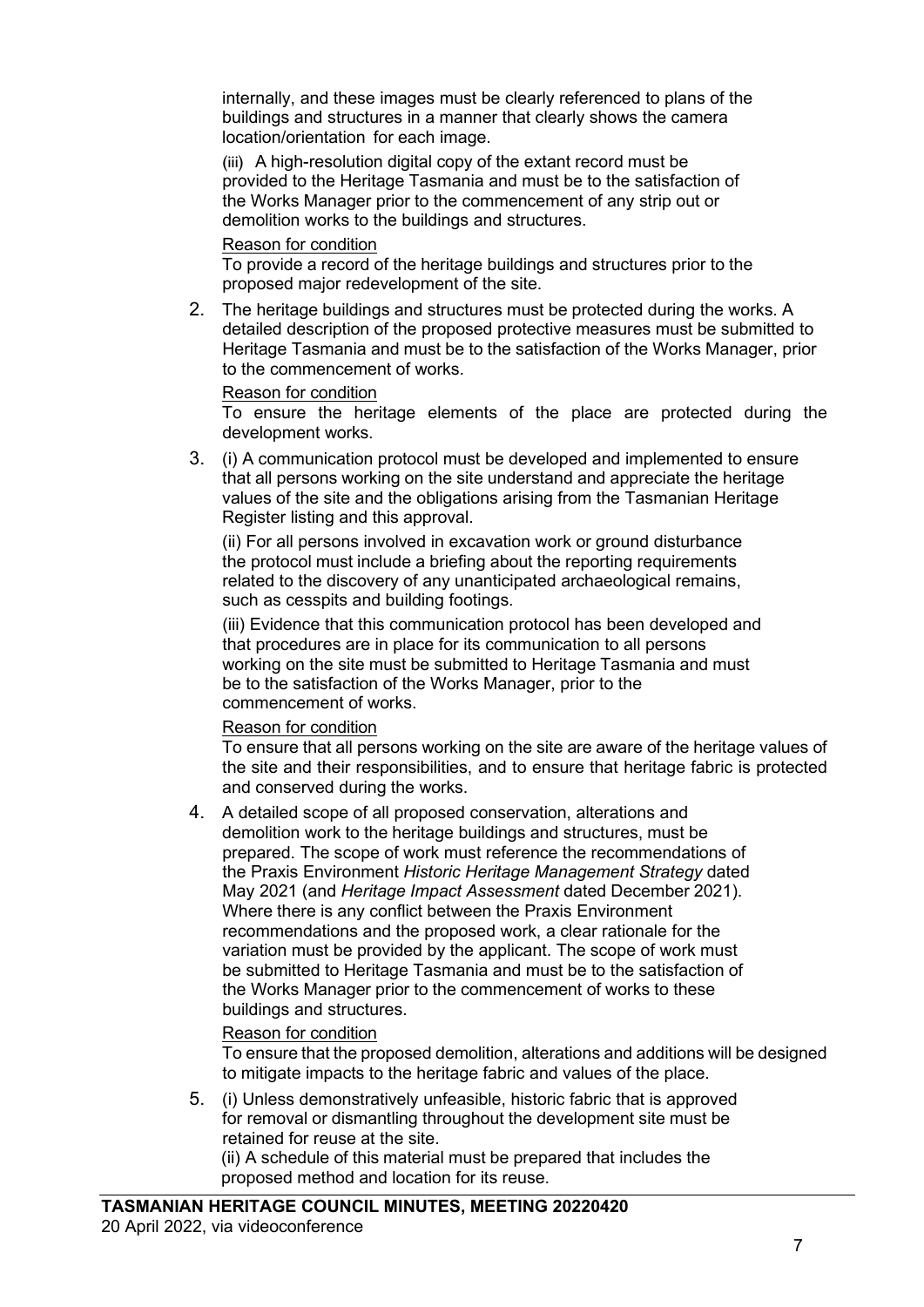internally, and these images must be clearly referenced to plans of the buildings and structures in a manner that clearly shows the camera location/orientation for each image.

(iii) A high-resolution digital copy of the extant record must be provided to the Heritage Tasmania and must be to the satisfaction of the Works Manager prior to the commencement of any strip out or demolition works to the buildings and structures.

### Reason for condition

To provide a record of the heritage buildings and structures prior to the proposed major redevelopment of the site.

2. The heritage buildings and structures must be protected during the works. A detailed description of the proposed protective measures must be submitted to Heritage Tasmania and must be to the satisfaction of the Works Manager, prior to the commencement of works.

#### Reason for condition

To ensure the heritage elements of the place are protected during the development works.

3. (i) A communication protocol must be developed and implemented to ensure that all persons working on the site understand and appreciate the heritage values of the site and the obligations arising from the Tasmanian Heritage Register listing and this approval.

(ii) For all persons involved in excavation work or ground disturbance the protocol must include a briefing about the reporting requirements related to the discovery of any unanticipated archaeological remains, such as cesspits and building footings.

(iii) Evidence that this communication protocol has been developed and that procedures are in place for its communication to all persons working on the site must be submitted to Heritage Tasmania and must be to the satisfaction of the Works Manager, prior to the commencement of works.

#### Reason for condition

To ensure that all persons working on the site are aware of the heritage values of the site and their responsibilities, and to ensure that heritage fabric is protected and conserved during the works.

4. A detailed scope of all proposed conservation, alterations and demolition work to the heritage buildings and structures, must be prepared. The scope of work must reference the recommendations of the Praxis Environment *Historic Heritage Management Strategy* dated May 2021 (and *Heritage Impact Assessment* dated December 2021). Where there is any conflict between the Praxis Environment recommendations and the proposed work, a clear rationale for the variation must be provided by the applicant. The scope of work must be submitted to Heritage Tasmania and must be to the satisfaction of the Works Manager prior to the commencement of works to these buildings and structures.

# Reason for condition

To ensure that the proposed demolition, alterations and additions will be designed to mitigate impacts to the heritage fabric and values of the place.

5. (i) Unless demonstratively unfeasible, historic fabric that is approved for removal or dismantling throughout the development site must be retained for reuse at the site.

(ii) A schedule of this material must be prepared that includes the proposed method and location for its reuse.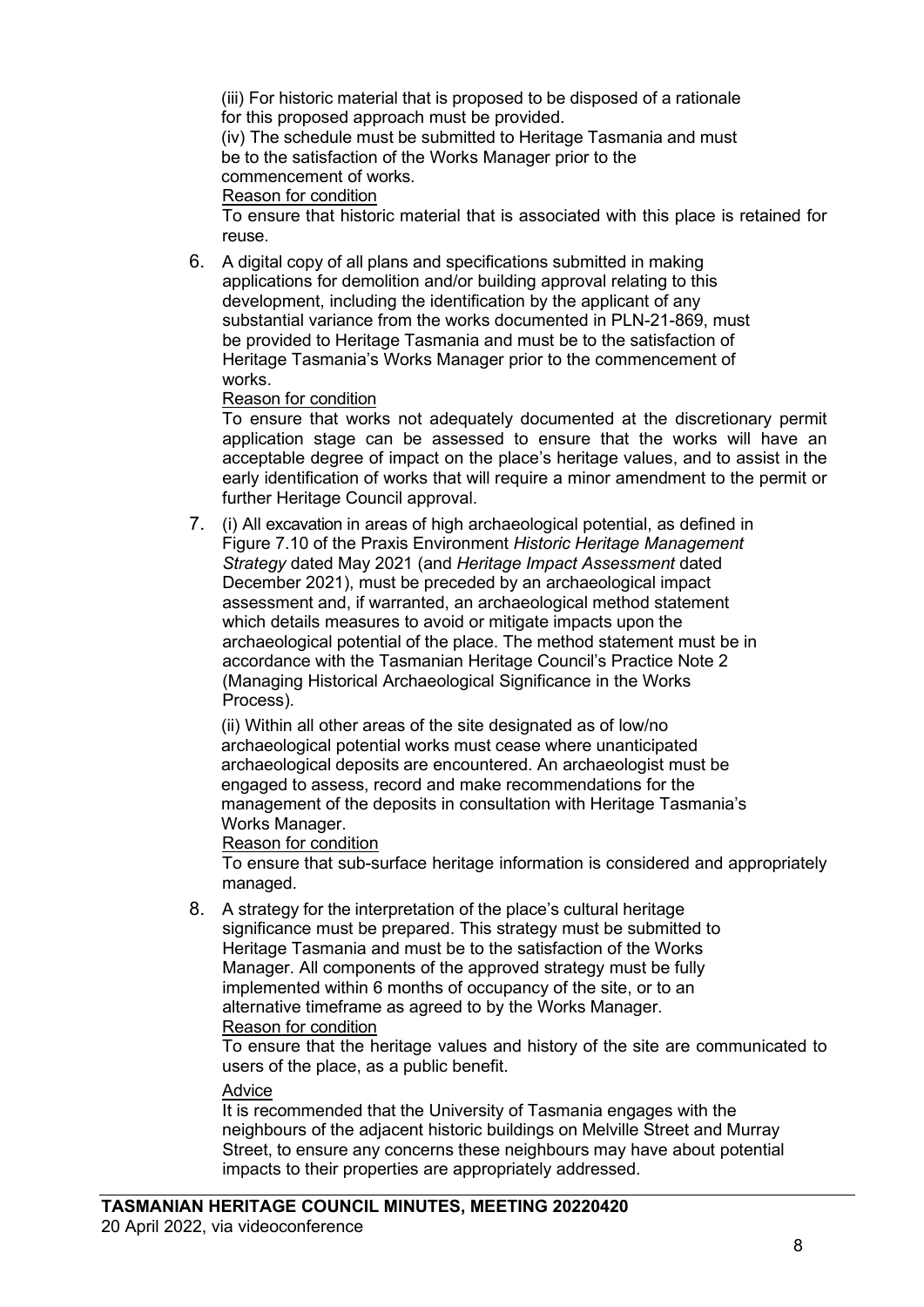(iii) For historic material that is proposed to be disposed of a rationale for this proposed approach must be provided.

(iv) The schedule must be submitted to Heritage Tasmania and must be to the satisfaction of the Works Manager prior to the commencement of works.

Reason for condition

To ensure that historic material that is associated with this place is retained for reuse.

6. A digital copy of all plans and specifications submitted in making applications for demolition and/or building approval relating to this development, including the identification by the applicant of any substantial variance from the works documented in PLN-21-869, must be provided to Heritage Tasmania and must be to the satisfaction of Heritage Tasmania's Works Manager prior to the commencement of works.

#### Reason for condition

To ensure that works not adequately documented at the discretionary permit application stage can be assessed to ensure that the works will have an acceptable degree of impact on the place's heritage values, and to assist in the early identification of works that will require a minor amendment to the permit or further Heritage Council approval.

7. (i) All excavation in areas of high archaeological potential, as defined in Figure 7.10 of the Praxis Environment *Historic Heritage Management Strategy* dated May 2021 (and *Heritage Impact Assessment* dated December 2021), must be preceded by an archaeological impact assessment and, if warranted, an archaeological method statement which details measures to avoid or mitigate impacts upon the archaeological potential of the place. The method statement must be in accordance with the Tasmanian Heritage Council's Practice Note 2 (Managing Historical Archaeological Significance in the Works Process).

(ii) Within all other areas of the site designated as of low/no archaeological potential works must cease where unanticipated archaeological deposits are encountered. An archaeologist must be engaged to assess, record and make recommendations for the management of the deposits in consultation with Heritage Tasmania's Works Manager.

Reason for condition

To ensure that sub-surface heritage information is considered and appropriately managed.

8. A strategy for the interpretation of the place's cultural heritage significance must be prepared. This strategy must be submitted to Heritage Tasmania and must be to the satisfaction of the Works Manager. All components of the approved strategy must be fully implemented within 6 months of occupancy of the site, or to an alternative timeframe as agreed to by the Works Manager. Reason for condition

To ensure that the heritage values and history of the site are communicated to users of the place, as a public benefit.

#### Advice

It is recommended that the University of Tasmania engages with the neighbours of the adjacent historic buildings on Melville Street and Murray Street, to ensure any concerns these neighbours may have about potential impacts to their properties are appropriately addressed.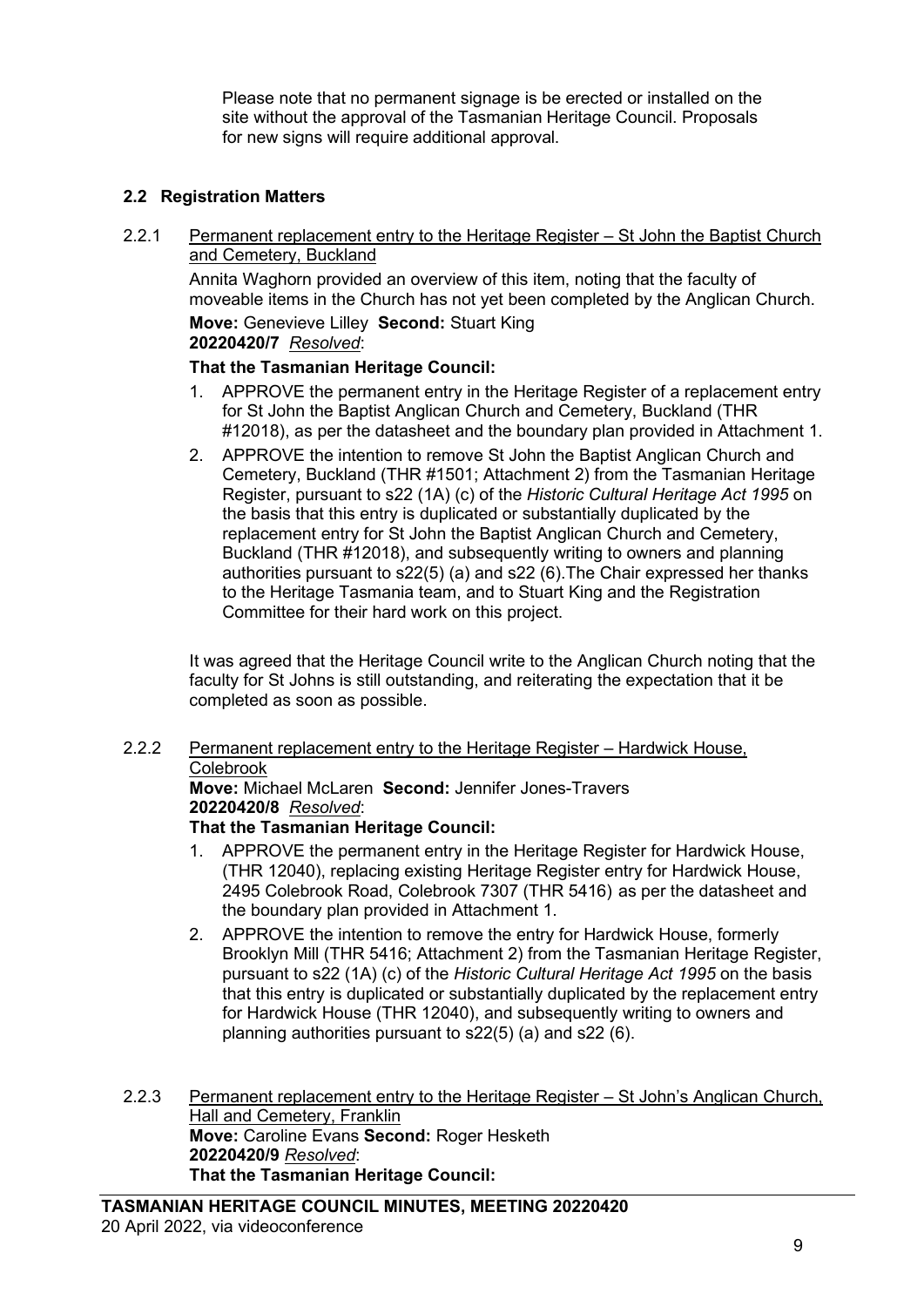Please note that no permanent signage is be erected or installed on the site without the approval of the Tasmanian Heritage Council. Proposals for new signs will require additional approval.

# **2.2 Registration Matters**

2.2.1 Permanent replacement entry to the Heritage Register – St John the Baptist Church and Cemetery, Buckland

Annita Waghorn provided an overview of this item, noting that the faculty of moveable items in the Church has not yet been completed by the Anglican Church.

**Move:** Genevieve Lilley **Second:** Stuart King **20220420/7** *Resolved*:

## **That the Tasmanian Heritage Council:**

- 1. APPROVE the permanent entry in the Heritage Register of a replacement entry for St John the Baptist Anglican Church and Cemetery, Buckland (THR #12018), as per the datasheet and the boundary plan provided in Attachment 1.
- 2. APPROVE the intention to remove St John the Baptist Anglican Church and Cemetery, Buckland (THR #1501; Attachment 2) from the Tasmanian Heritage Register, pursuant to s22 (1A) (c) of the *Historic Cultural Heritage Act 1995* on the basis that this entry is duplicated or substantially duplicated by the replacement entry for St John the Baptist Anglican Church and Cemetery, Buckland (THR #12018), and subsequently writing to owners and planning authorities pursuant to s22(5) (a) and s22 (6).The Chair expressed her thanks to the Heritage Tasmania team, and to Stuart King and the Registration Committee for their hard work on this project.

It was agreed that the Heritage Council write to the Anglican Church noting that the faculty for St Johns is still outstanding, and reiterating the expectation that it be completed as soon as possible.

#### 2.2.2 Permanent replacement entry to the Heritage Register – Hardwick House, Colebrook

**Move:** Michael McLaren **Second:** Jennifer Jones-Travers **20220420/8** *Resolved*:

#### **That the Tasmanian Heritage Council:**

- 1. APPROVE the permanent entry in the Heritage Register for Hardwick House, (THR 12040), replacing existing Heritage Register entry for Hardwick House, 2495 Colebrook Road, Colebrook 7307 (THR 5416) as per the datasheet and the boundary plan provided in Attachment 1.
- 2. APPROVE the intention to remove the entry for Hardwick House, formerly Brooklyn Mill (THR 5416; Attachment 2) from the Tasmanian Heritage Register, pursuant to s22 (1A) (c) of the *Historic Cultural Heritage Act 1995* on the basis that this entry is duplicated or substantially duplicated by the replacement entry for Hardwick House (THR 12040), and subsequently writing to owners and planning authorities pursuant to s22(5) (a) and s22 (6).
- 2.2.3 Permanent replacement entry to the Heritage Register St John's Anglican Church, Hall and Cemetery, Franklin **Move:** Caroline Evans **Second:** Roger Hesketh **20220420/9** *Resolved*: **That the Tasmanian Heritage Council:**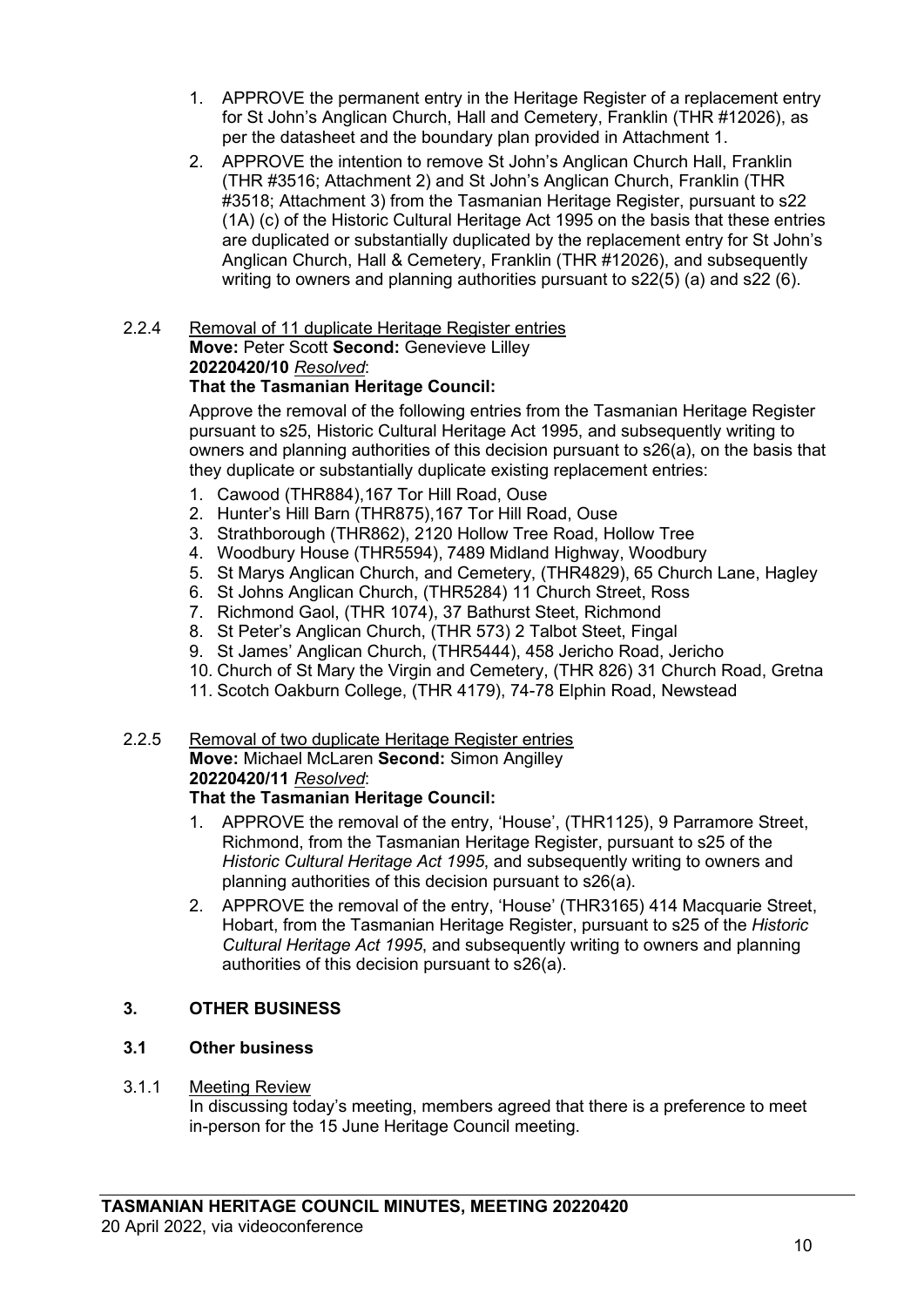- 1. APPROVE the permanent entry in the Heritage Register of a replacement entry for St John's Anglican Church, Hall and Cemetery, Franklin (THR #12026), as per the datasheet and the boundary plan provided in Attachment 1.
- 2. APPROVE the intention to remove St John's Anglican Church Hall, Franklin (THR #3516; Attachment 2) and St John's Anglican Church, Franklin (THR #3518; Attachment 3) from the Tasmanian Heritage Register, pursuant to s22 (1A) (c) of the Historic Cultural Heritage Act 1995 on the basis that these entries are duplicated or substantially duplicated by the replacement entry for St John's Anglican Church, Hall & Cemetery, Franklin (THR #12026), and subsequently writing to owners and planning authorities pursuant to s22(5) (a) and s22 (6).

# 2.2.4 Removal of 11 duplicate Heritage Register entries

#### **Move:** Peter Scott **Second:** Genevieve Lilley **20220420/10** *Resolved*:

# **That the Tasmanian Heritage Council:**

Approve the removal of the following entries from the Tasmanian Heritage Register pursuant to s25, Historic Cultural Heritage Act 1995, and subsequently writing to owners and planning authorities of this decision pursuant to s26(a), on the basis that they duplicate or substantially duplicate existing replacement entries:

- 1. Cawood (THR884),167 Tor Hill Road, Ouse
- 2. Hunter's Hill Barn (THR875),167 Tor Hill Road, Ouse
- 3. Strathborough (THR862), 2120 Hollow Tree Road, Hollow Tree
- 4. Woodbury House (THR5594), 7489 Midland Highway, Woodbury
- 5. St Marys Anglican Church, and Cemetery, (THR4829), 65 Church Lane, Hagley
- 6. St Johns Anglican Church, (THR5284) 11 Church Street, Ross
- 7. Richmond Gaol, (THR 1074), 37 Bathurst Steet, Richmond
- 8. St Peter's Anglican Church, (THR 573) 2 Talbot Steet, Fingal
- 9. St James' Anglican Church, (THR5444), 458 Jericho Road, Jericho
- 10. Church of St Mary the Virgin and Cemetery, (THR 826) 31 Church Road, Gretna
- 11. Scotch Oakburn College, (THR 4179), 74-78 Elphin Road, Newstead

#### 2.2.5 Removal of two duplicate Heritage Register entries **Move:** Michael McLaren **Second:** Simon Angilley

# **20220420/11** *Resolved*:

# **That the Tasmanian Heritage Council:**

- 1. APPROVE the removal of the entry, 'House', (THR1125), 9 Parramore Street, Richmond, from the Tasmanian Heritage Register, pursuant to s25 of the *Historic Cultural Heritage Act 1995*, and subsequently writing to owners and planning authorities of this decision pursuant to s26(a).
- 2. APPROVE the removal of the entry, 'House' (THR3165) 414 Macquarie Street, Hobart, from the Tasmanian Heritage Register, pursuant to s25 of the *Historic Cultural Heritage Act 1995*, and subsequently writing to owners and planning authorities of this decision pursuant to s26(a).

# **3. OTHER BUSINESS**

# **3.1 Other business**

# 3.1.1 Meeting Review

In discussing today's meeting, members agreed that there is a preference to meet in-person for the 15 June Heritage Council meeting.